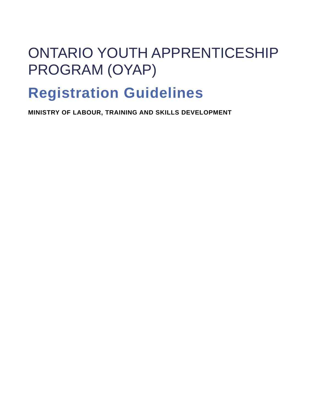# ONTARIO YOUTH APPRENTICESHIP PROGRAM (OYAP)

## **Registration Guidelines**

**MINISTRY OF LABOUR, TRAINING AND SKILLS DEVELOPMENT**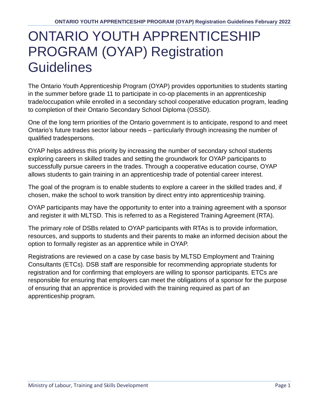### ONTARIO YOUTH APPRENTICESHIP PROGRAM (OYAP) Registration **Guidelines**

The Ontario Youth Apprenticeship Program (OYAP) provides opportunities to students starting in the summer before grade 11 to participate in co-op placements in an apprenticeship trade/occupation while enrolled in a secondary school cooperative education program, leading to completion of their Ontario Secondary School Diploma (OSSD).

One of the long term priorities of the Ontario government is to anticipate, respond to and meet Ontario's future trades sector labour needs – particularly through increasing the number of qualified tradespersons.

OYAP helps address this priority by increasing the number of secondary school students exploring careers in skilled trades and setting the groundwork for OYAP participants to successfully pursue careers in the trades. Through a cooperative education course, OYAP allows students to gain training in an apprenticeship trade of potential career interest.

The goal of the program is to enable students to explore a career in the skilled trades and, if chosen, make the school to work transition by direct entry into apprenticeship training.

OYAP participants may have the opportunity to enter into a training agreement with a sponsor and register it with MLTSD. This is referred to as a Registered Training Agreement (RTA).

The primary role of DSBs related to OYAP participants with RTAs is to provide information, resources, and supports to students and their parents to make an informed decision about the option to formally register as an apprentice while in OYAP.

Registrations are reviewed on a case by case basis by MLTSD Employment and Training Consultants (ETCs). DSB staff are responsible for recommending appropriate students for registration and for confirming that employers are willing to sponsor participants. ETCs are responsible for ensuring that employers can meet the obligations of a sponsor for the purpose of ensuring that an apprentice is provided with the training required as part of an apprenticeship program.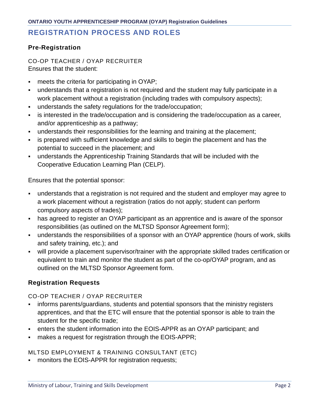### **REGISTRATION PROCESS AND ROLES**

#### **Pre-Registration**

CO-OP TEACHER / OYAP RECRUITER Ensures that the student:

- meets the criteria for participating in OYAP;
- understands that a registration is not required and the student may fully participate in a work placement without a registration (including trades with compulsory aspects);
- understands the safety regulations for the trade/occupation;
- is interested in the trade/occupation and is considering the trade/occupation as a career, and/or apprenticeship as a pathway;
- understands their responsibilities for the learning and training at the placement;
- is prepared with sufficient knowledge and skills to begin the placement and has the potential to succeed in the placement; and
- understands the Apprenticeship Training Standards that will be included with the Cooperative Education Learning Plan (CELP).

Ensures that the potential sponsor:

- understands that a registration is not required and the student and employer may agree to a work placement without a registration (ratios do not apply; student can perform compulsory aspects of trades);
- has agreed to register an OYAP participant as an apprentice and is aware of the sponsor responsibilities (as outlined on the MLTSD Sponsor Agreement form);
- understands the responsibilities of a sponsor with an OYAP apprentice (hours of work, skills and safety training, etc.); and
- will provide a placement supervisor/trainer with the appropriate skilled trades certification or equivalent to train and monitor the student as part of the co-op/OYAP program, and as outlined on the MLTSD Sponsor Agreement form.

#### **Registration Requests**

CO-OP TEACHER / OYAP RECRUITER

- informs parents/guardians, students and potential sponsors that the ministry registers apprentices, and that the ETC will ensure that the potential sponsor is able to train the student for the specific trade;
- enters the student information into the EOIS-APPR as an OYAP participant; and
- makes a request for registration through the EOIS-APPR;

MLTSD EMPLOYMENT & TRAINING CONSULTANT (ETC)

monitors the EOIS-APPR for registration requests;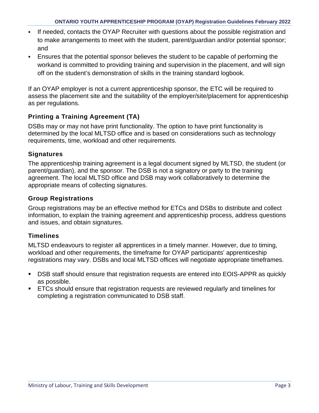- If needed, contacts the OYAP Recruiter with questions about the possible registration and to make arrangements to meet with the student, parent/guardian and/or potential sponsor; and
- Ensures that the potential sponsor believes the student to be capable of performing the workand is committed to providing training and supervision in the placement, and will sign off on the student's demonstration of skills in the training standard logbook.

If an OYAP employer is not a current apprenticeship sponsor, the ETC will be required to assess the placement site and the suitability of the employer/site/placement for apprenticeship as per regulations.

#### **Printing a Training Agreement (TA)**

DSBs may or may not have print functionality. The option to have print functionality is determined by the local MLTSD office and is based on considerations such as technology requirements, time, workload and other requirements.

#### **Signatures**

The apprenticeship training agreement is a legal document signed by MLTSD, the student (or parent/guardian), and the sponsor. The DSB is not a signatory or party to the training agreement. The local MLTSD office and DSB may work collaboratively to determine the appropriate means of collecting signatures.

#### **Group Registrations**

Group registrations may be an effective method for ETCs and DSBs to distribute and collect information, to explain the training agreement and apprenticeship process, address questions and issues, and obtain signatures.

#### **Timelines**

MLTSD endeavours to register all apprentices in a timely manner. However, due to timing, workload and other requirements, the timeframe for OYAP participants' apprenticeship registrations may vary. DSBs and local MLTSD offices will negotiate appropriate timeframes.

- DSB staff should ensure that registration requests are entered into EOIS-APPR as quickly as possible.
- ETCs should ensure that registration requests are reviewed regularly and timelines for completing a registration communicated to DSB staff.